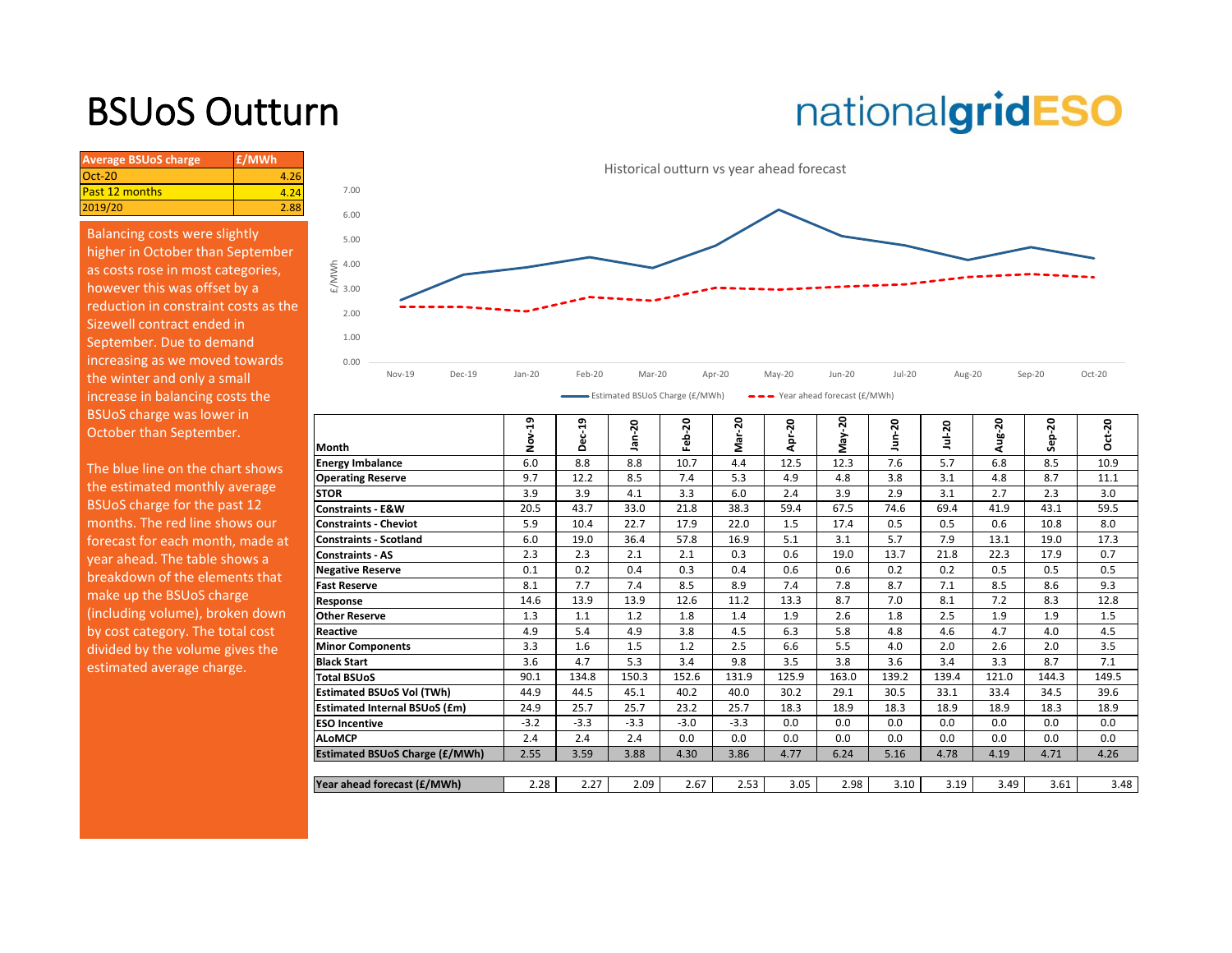### BSUoS Outturn

# nationalgridESO

| £/MWh |
|-------|
|       |
| 4.24  |
| 2.88  |
|       |

Balancing costs were slightly higher in October than September as costs rose in most categories, however this was offset by a reduction in constraint costs as the Sizewell contract ended in September. Due to demand increasing as we moved towards the winter and only a small increase in balancing costs the BSUoS charge was lower in October than September.



| <b>BSU0S CHATLE WAS TOWER IN</b><br>October than September. | Month                                 | 9<br>ş | ឡ<br>٥ | 20<br>을 | 50<br>Feb. | 20<br>Mar- | Apr-20 | 50<br>γaγ. | -20<br>Ś | $Jul-20$ | ន<br>aug | 20<br>읍<br>۰Ā | $ct-20$<br>Õ |
|-------------------------------------------------------------|---------------------------------------|--------|--------|---------|------------|------------|--------|------------|----------|----------|----------|---------------|--------------|
| The blue line on the chart shows                            | <b>Energy Imbalance</b>               | 6.0    | 8.8    | 8.8     | 10.7       | 4.4        | 12.5   | 12.3       | 7.6      | 5.7      | 6.8      | 8.5           | 10.9         |
| the estimated monthly average                               | <b>Operating Reserve</b>              | 9.7    | 12.2   | 8.5     | 7.4        | 5.3        | 4.9    | 4.8        | 3.8      | 3.1      | 4.8      | 8.7           | 11.1         |
|                                                             | <b>STOR</b>                           | 3.9    | 3.9    | 4.1     | 3.3        | 6.0        | 2.4    | 3.9        | 2.9      | 3.1      | 2.7      | 2.3           | 3.0          |
| BSUoS charge for the past 12                                | <b>Constraints - E&amp;W</b>          | 20.5   | 43.7   | 33.0    | 21.8       | 38.3       | 59.4   | 67.5       | 74.6     | 69.4     | 41.9     | 43.1          | 59.5         |
| months. The red line shows our                              | <b>Constraints - Cheviot</b>          | 5.9    | 10.4   | 22.7    | 17.9       | 22.0       | 1.5    | 17.4       | 0.5      | 0.5      | 0.6      | 10.8          | 8.0          |
| forecast for each month, made at                            | <b>Constraints - Scotland</b>         | 6.0    | 19.0   | 36.4    | 57.8       | 16.9       | 5.1    | 3.1        | 5.7      | 7.9      | 13.1     | 19.0          | 17.3         |
| year ahead. The table shows a                               | <b>Constraints - AS</b>               | 2.3    | 2.3    | 2.1     | 2.1        | 0.3        | 0.6    | 19.0       | 13.7     | 21.8     | 22.3     | 17.9          | 0.7          |
| breakdown of the elements that                              | <b>Negative Reserve</b>               | 0.1    | 0.2    | 0.4     | 0.3        | 0.4        | 0.6    | 0.6        | 0.2      | 0.2      | 0.5      | 0.5           | 0.5          |
|                                                             | <b>Fast Reserve</b>                   | 8.1    | 7.7    | 7.4     | 8.5        | 8.9        | 7.4    | 7.8        | 8.7      | 7.1      | 8.5      | 8.6           | 9.3          |
| make up the BSUoS charge                                    | Response                              | 14.6   | 13.9   | 13.9    | 12.6       | 11.2       | 13.3   | 8.7        | 7.0      | 8.1      | 7.2      | 8.3           | 12.8         |
| (including volume), broken down                             | <b>Other Reserve</b>                  | 1.3    | 1.1    | 1.2     | 1.8        | 1.4        | 1.9    | 2.6        | 1.8      | 2.5      | 1.9      | 1.9           | 1.5          |
| by cost category. The total cost                            | <b>Reactive</b>                       | 4.9    | 5.4    | 4.9     | 3.8        | 4.5        | 6.3    | 5.8        | 4.8      | 4.6      | 4.7      | 4.0           | 4.5          |
| divided by the volume gives the                             | <b>Minor Components</b>               | 3.3    | 1.6    | 1.5     | 1.2        | 2.5        | 6.6    | 5.5        | 4.0      | 2.0      | 2.6      | 2.0           | 3.5          |
| estimated average charge.                                   | <b>Black Start</b>                    | 3.6    | 4.7    | 5.3     | 3.4        | 9.8        | 3.5    | 3.8        | 3.6      | 3.4      | 3.3      | 8.7           | 7.1          |
|                                                             | <b>Total BSUoS</b>                    | 90.1   | 134.8  | 150.3   | 152.6      | 131.9      | 125.9  | 163.0      | 139.2    | 139.4    | 121.0    | 144.3         | 149.5        |
|                                                             | <b>Estimated BSUoS Vol (TWh)</b>      | 44.9   | 44.5   | 45.1    | 40.2       | 40.0       | 30.2   | 29.1       | 30.5     | 33.1     | 33.4     | 34.5          | 39.6         |
|                                                             | <b>Estimated Internal BSUoS (£m)</b>  | 24.9   | 25.7   | 25.7    | 23.2       | 25.7       | 18.3   | 18.9       | 18.3     | 18.9     | 18.9     | 18.3          | 18.9         |
|                                                             | <b>ESO Incentive</b>                  | $-3.2$ | $-3.3$ | $-3.3$  | $-3.0$     | $-3.3$     | 0.0    | 0.0        | 0.0      | 0.0      | 0.0      | 0.0           | 0.0          |
|                                                             | <b>ALoMCP</b>                         | 2.4    | 2.4    | 2.4     | 0.0        | 0.0        | 0.0    | 0.0        | 0.0      | 0.0      | 0.0      | 0.0           | 0.0          |
|                                                             | <b>Estimated BSUoS Charge (£/MWh)</b> | 2.55   | 3.59   | 3.88    | 4.30       | 3.86       | 4.77   | 6.24       | 5.16     | 4.78     | 4.19     | 4.71          | 4.26         |
|                                                             |                                       |        |        |         |            |            |        |            |          |          |          |               |              |
|                                                             | Year ahead forecast (£/MWh)           | 2.28   | 2.27   | 2.09    | 2.67       | 2.53       | 3.05   | 2.98       | 3.10     | 3.19     | 3.49     | 3.61          | 3.48         |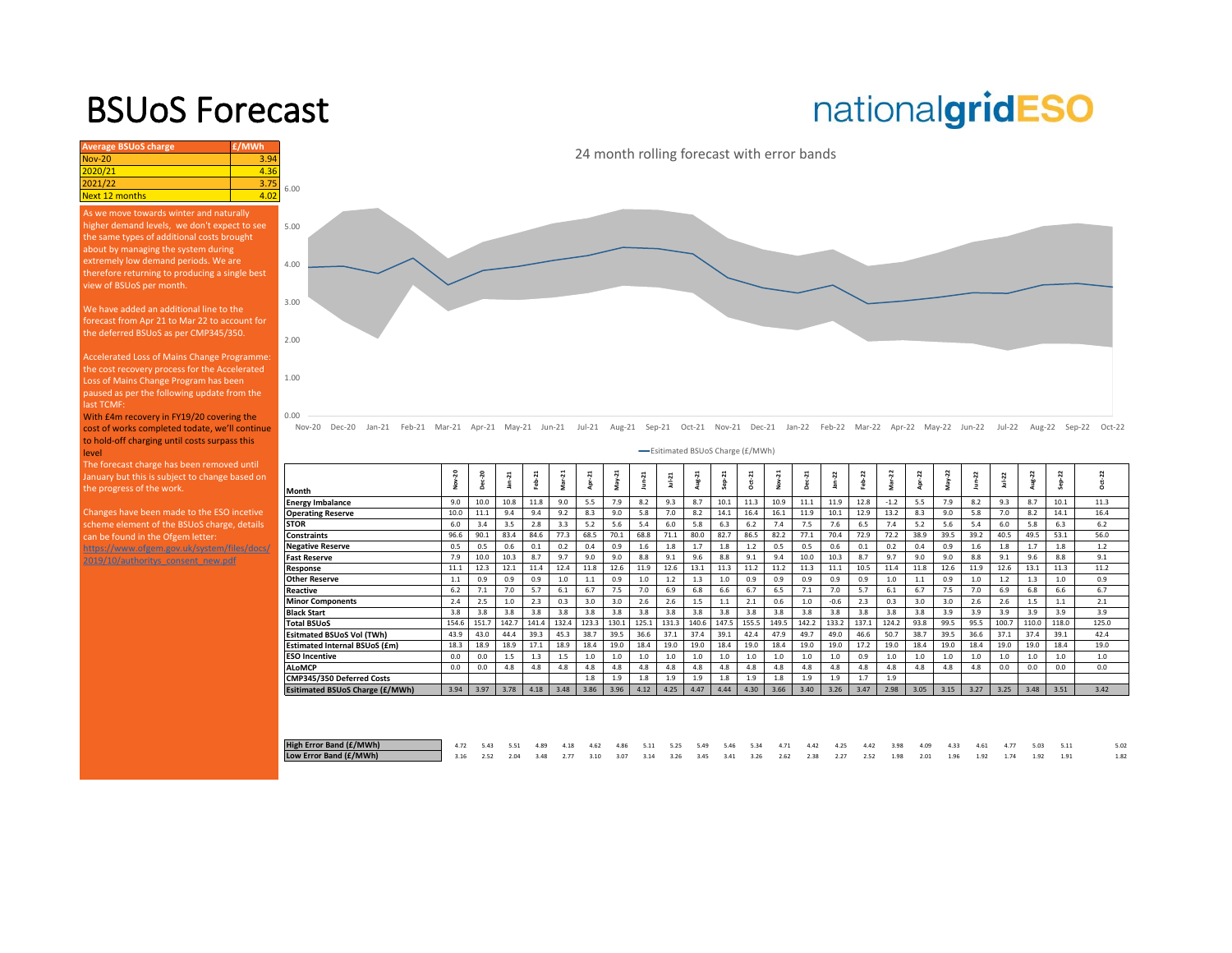### BSUoS Forecast

## nationalgridESO

| <b>Average BSUoS charge</b>                                                                                                                                                                                                                                                                        | £/MWh |                                            |
|----------------------------------------------------------------------------------------------------------------------------------------------------------------------------------------------------------------------------------------------------------------------------------------------------|-------|--------------------------------------------|
| <b>Nov-20</b>                                                                                                                                                                                                                                                                                      | 3.94  | 24 month rolling forecast with error bands |
| 2020/21                                                                                                                                                                                                                                                                                            | 4.36  |                                            |
| 2021/22                                                                                                                                                                                                                                                                                            | 3.75  | 6.00                                       |
| Next 12 months                                                                                                                                                                                                                                                                                     | 4.02  |                                            |
| As we move towards winter and naturally<br>higher demand levels, we don't expect to see<br>the same types of additional costs brought<br>about by managing the system during<br>extremely low demand periods. We are<br>therefore returning to producing a single best<br>view of BSUoS per month. |       | 5.00<br>4.00                               |
| We have added an additional line to the<br>forecast from Apr 21 to Mar 22 to account for<br>the deferred BSUoS as per CMP345/350.<br>Accelerated Loss of Mains Change Programme:                                                                                                                   |       | 3.00<br>2.00                               |

Loss of Mains Change Program has been paused as per the following update from the last TCMF:

0.00

1.00

With £4m recovery in FY19/20 covering the cost of works completed todate, we'll continue to hold-off charging until costs surpass this level

The forecast charge has been removed until January but this is subject to change based on the progress of the work.

Changes have been made to the ESO incetive scheme element of the BSUoS charge, details can be found in the Ofgem letter: https://www.ofgem.gov.uk/system/files/docs/

2019/10/authoritys\_consent\_new.pdf

Nov-20 Dec-20 Jan-21 Feb-21 Mar-21 Apr-21 May-21 Jun-21 Jul-21 Aug-21 Sep-21 Oct-21 Nov-21 Dec-21 Jan-22 Feb-22 Mar-22 Apr-22 May-22 Jun-22 Jul-22 Aug-22 Sep-22 Oct-22 **-Esitimated BSUoS Charge (£/MWh)** 

| Month                           | $\overline{\mathbf{a}}$ | $\overline{a}$ | $an-21$ | $Fcb-21$ | 21    | ដ<br>į | 21<br>눎 | 'n,   | $Ju-21$ | Aug-21 | $Sep-21$ | $\overline{a}$<br>ģ | 21<br>,<br>∍ | $Dec-21$ | 22     | 22<br>ė | 22<br>.<br>≦ | z<br>ģ | $May-22$ | $J$ un-22 | $JuL - 22$ | ά<br>할<br>a | 22    | 2<br>ģ |  |
|---------------------------------|-------------------------|----------------|---------|----------|-------|--------|---------|-------|---------|--------|----------|---------------------|--------------|----------|--------|---------|--------------|--------|----------|-----------|------------|-------------|-------|--------|--|
|                                 |                         |                |         |          |       |        |         |       |         |        |          |                     |              |          |        |         |              |        |          |           |            |             |       |        |  |
| <b>Energy Imbalance</b>         | 9.0                     | 10.0           | 10.8    | 11.8     | 9.0   | 5.5    | 7.9     | 8.2   | 9.3     | 8.7    | 10.1     | 11.3                | 10.9         | 11.1     | 11.9   | 12.8    | $-1.2$       | 5.5    | 7.9      | 8.2       | 9.3        | 8.7         | 10.1  | 11.3   |  |
| <b>Operating Reserve</b>        | 10.0                    | 11.1           | 9.4     | 9.4      | 9.2   | 8.3    | 9.0     | 5.8   | 7.0     | 8.2    | 14.1     | 16.4                | 16.1         | 11.9     | 10.1   | 12.9    | 13.2         | 8.3    | 9.0      | 5.8       | 7.0        | 8.2         | 14.1  | 16.4   |  |
| <b>STOR</b>                     | 6.0                     | 3.4            | 3.5     | 2.8      | 3.3   | 5.2    | 5.6     | 5.4   | 6.0     | 5.8    | 6.3      | 6.2                 | 7.4          | 7.5      | 7.6    | 6.5     | 7.4          | 5.2    | 5.6      | 5.4       | 6.0        | 5.8         | 6.3   | 6.2    |  |
| <b>Constraints</b>              | 96.6                    | 90.1           | 83.4    | 84.6     | 77.3  | 68.5   | 70.1    | 68.8  | 71.1    | 80.0   | 82.7     | 86.5                | 82.2         | 77.1     | 70.4   | 72.9    | 72.2         | 38.9   | 39.5     | 39.2      | 40.5       | 49.5        | 53.1  | 56.0   |  |
| <b>Negative Reserve</b>         | 0.5                     | 0.5            | 0.6     | 0.1      | 0.2   | 0.4    | 0.9     | 1.6   | 1.8     | 1.7    | 1.8      | 1.2                 | 0.5          | 0.5      | 0.6    | 0.1     | 0.2          | 0.4    | 0.9      | 1.6       | 1.8        | 1.7         | 1.8   | 1.2    |  |
| Fast Reserve                    | 7.9                     | 10.0           | 10.3    | 8.7      | 9.7   | 9.0    | 9.0     | 8.8   | 9.1     | 9.6    | 8.8      | 9.1                 | 9.4          | 10.0     | 10.3   | 8.7     | 9.7          | 9.0    | 9.0      | 8.8       | 9.1        | 9.6         | 8.8   | 9.1    |  |
| Response                        | 11.1                    | 12.3           | 12.1    | 11.4     | 12.4  | 11.8   | 12.6    | 11.9  | 12.6    | 13.1   | 11.3     | 11.2                | 11.2         | 11.3     | 11.1   | 10.5    | 11.4         | 11.8   | 12.6     | 11.9      | 12.6       | 13.1        | 11.3  | 11.2   |  |
| <b>Other Reserve</b>            | 1.1                     | 0.9            | 0.9     | 0.9      | 1.0   | 1.1    | 0.9     | 1.0   | 1.2     | 1.3    | 1.0      | 0.9                 | 0.9          | 0.9      | 0.9    | 0.9     | 1.0          | 1.1    | 0.9      | 1.0       | 1.2        | 1.3         | 1.0   | 0.9    |  |
| Reactive                        | 6.2                     | 7.1            | 7.0     | 5.7      | 6.1   | 6.7    | 7.5     | 7.0   | 6.9     | 6.8    | 6.6      | 6.7                 | 6.5          | 7.1      | 7.0    | 5.7     | 6.1          | 6.7    | 7.5      | 7.0       | 6.9        | 6.8         | 6.6   | 6.7    |  |
| <b>Minor Components</b>         | 2.4                     | 2.5            | 1.0     | 2.3      | 0.3   | 3.0    | 3.0     | 2.6   | 2.6     | 1.5    | 1.1      | 2.1                 | 0.6          | 1.0      | $-0.6$ | 2.3     | 0.3          | 3.0    | 3.0      | 2.6       | 2.6        | 1.5         | 1.1   | 2.1    |  |
| <b>Black Start</b>              | 3.8                     | 3.8            | 3.8     | 3.8      | 3.8   | 3.8    | 3.8     | 3.8   | 3.8     | 3.8    | 3.8      | 3.8                 | 3.8          | 3.8      | 3.8    | 3.8     | 3.8          | 3.8    | 3.9      | 3.9       | 3.9        | 3.9         | 3.9   | 3.9    |  |
| <b>Total BSUoS</b>              | 154.6                   | 151.7          | 142.7   | 141.4    | 132.4 | 123.3  | 130.1   | 125.1 | 131.3   | 140.6  | 147.5    | 155.5               | 149.5        | 142.2    | 133.2  | 137.1   | 124.2        | 93.8   | 99.5     | 95.5      | 100.7      | 110.0       | 118.0 | 125.0  |  |
| Esitmated BSUoS Vol (TWh)       | 43.9                    | 43.0           | 44.4    | 39.3     | 45.3  | 38.7   | 39.5    | 36.6  | 37.1    | 37.4   | 39.1     | 42.4                | 47.9         | 49.7     | 49.0   | 46.6    | 50.7         | 38.7   | 39.5     | 36.6      | 37.1       | 37.4        | 39.1  | 42.4   |  |
| Estimated Internal BSUoS (£m)   | 18.3                    | 18.9           | 18.9    | 17.1     | 18.9  | 18.4   | 19.0    | 18.4  | 19.0    | 19.0   | 18.4     | 19.0                | 18.4         | 19.0     | 19.0   | 17.2    | 19.0         | 18.4   | 19.0     | 18.4      | 19.0       | 19.0        | 18.4  | 19.0   |  |
| <b>ESO Incentive</b>            | 0.0                     | 0.0            | 1.5     | 1.3      | 1.5   | 1.0    | 1.0     | 1.0   | 1.0     | 1.0    | 1.0      | 1.0                 | 1.0          | 1.0      | 1.0    | 0.9     | 1.0          | 1.0    | 1.0      | 1.0       | 1.0        | 1.0         | 1.0   | 1.0    |  |
| <b>ALoMCP</b>                   | 0.0                     | 0.0            | 4.8     | 4.8      | 4.8   | 4.8    | 4.8     | 4.8   | 4.8     | 4.8    | 4.8      | 4.8                 | 4.8          | 4.8      | 4.8    | 4.8     | 4.8          | 4.8    | 4.8      | 4.8       | 0.0        | 0.0         | 0.0   | 0.0    |  |
| CMP345/350 Deferred Costs       |                         |                |         |          |       | 1.8    | 1.9     | 1.8   | 1.9     | 1.9    | 1.8      | 1.9                 | 1.8          | 1.9      | 1.9    | 1.7     | 1.9          |        |          |           |            |             |       |        |  |
| Esitimated BSUoS Charge (£/MWh) | 3.94                    | 3.97           | 3.78    | 4.18     | 3.48  | 3.86   | 3.96    | 4.12  | 4.25    | 4.47   | 4.44     | 4.30                | 3.66         | 3.40     | 3.26   | 3.47    | 2.98         | 3.05   | 3.15     | 3.27      | 3.25       | 3.48        | 3.51  | 3.42   |  |
|                                 |                         |                |         |          |       |        |         |       |         |        |          |                     |              |          |        |         |              |        |          |           |            |             |       |        |  |

| High Error Band (£/MWh) |  |  |  |  |  |  |  |  |  | 4.72 5.43 5.51 4.89 4.18 4.62 4.86 5.11 5.25 5.49 5.46 5.34 4.71 4.42 4.25 4.42 3.98 4.09 4.33 4.61      | 4.77 | 5.03 5.11 |  |
|-------------------------|--|--|--|--|--|--|--|--|--|----------------------------------------------------------------------------------------------------------|------|-----------|--|
| Low Error Band (£/MWh)  |  |  |  |  |  |  |  |  |  | 3.16 2.52 2.04 3.48 2.77 3.10 3.07 3.14 3.26 3.45 3.41 3.26 2.62 2.38 2.27 2.52 1.98 2.01 1.96 1.92 1.74 |      | 1.92 1.91 |  |